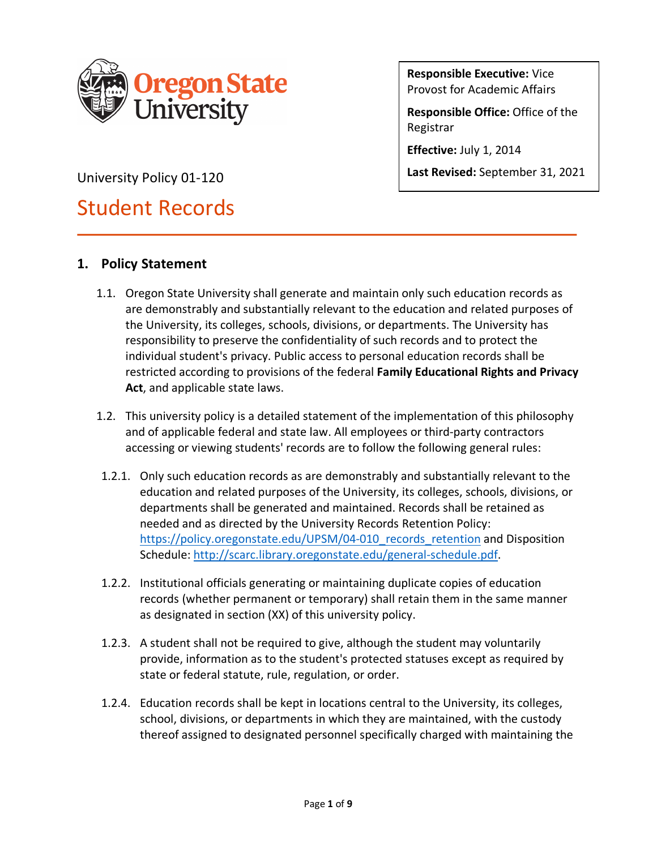

**Responsible Executive:** Vice Provost for Academic Affairs

**Responsible Office:** Office of the Registrar

**Effective:** July 1, 2014

**Last Revised:** September 31, 2021

University Policy 01-120

# Student Records

# **1. Policy Statement**

- 1.1. Oregon State University shall generate and maintain only such education records as are demonstrably and substantially relevant to the education and related purposes of the University, its colleges, schools, divisions, or departments. The University has responsibility to preserve the confidentiality of such records and to protect the individual student's privacy. Public access to personal education records shall be restricted according to provisions of the federal **Family Educational Rights and Privacy Act**, and applicable state laws.
- 1.2. This university policy is a detailed statement of the implementation of this philosophy and of applicable federal and state law. All employees or third-party contractors accessing or viewing students' records are to follow the following general rules:
- 1.2.1. Only such education records as are demonstrably and substantially relevant to the education and related purposes of the University, its colleges, schools, divisions, or departments shall be generated and maintained. Records shall be retained as needed and as directed by the University Records Retention Policy: https://policy.oregonstate.edu/UPSM/04-010\_records\_retention and Disposition Schedule: http://scarc.library.oregonstate.edu/general-schedule.pdf.
- 1.2.2. Institutional officials generating or maintaining duplicate copies of education records (whether permanent or temporary) shall retain them in the same manner as designated in section (XX) of this university policy.
- 1.2.3. A student shall not be required to give, although the student may voluntarily provide, information as to the student's protected statuses except as required by state or federal statute, rule, regulation, or order.
- 1.2.4. Education records shall be kept in locations central to the University, its colleges, school, divisions, or departments in which they are maintained, with the custody thereof assigned to designated personnel specifically charged with maintaining the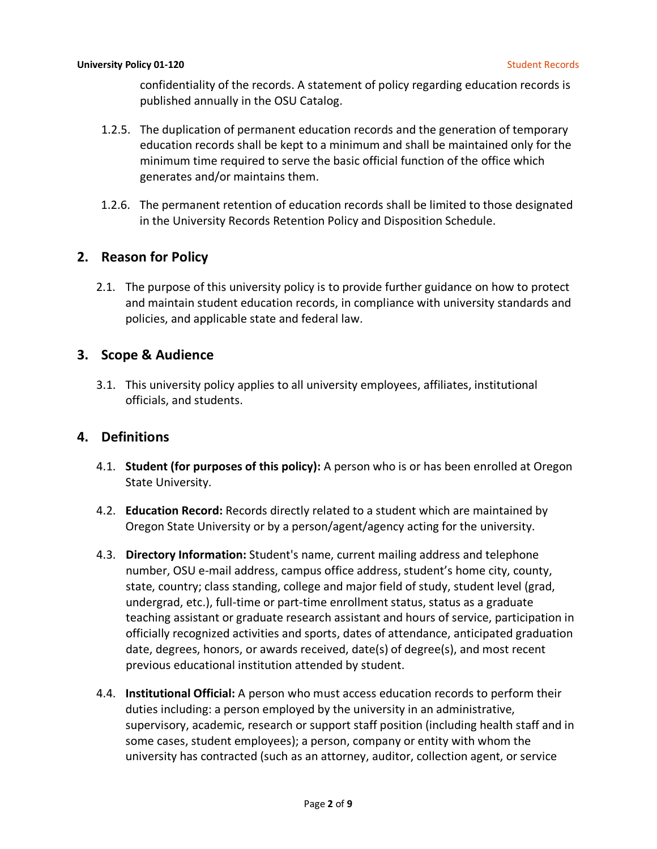confidentiality of the records. A statement of policy regarding education records is published annually in the OSU Catalog.

- 1.2.5. The duplication of permanent education records and the generation of temporary education records shall be kept to a minimum and shall be maintained only for the minimum time required to serve the basic official function of the office which generates and/or maintains them.
- 1.2.6. The permanent retention of education records shall be limited to those designated in the University Records Retention Policy and Disposition Schedule.

## **2. Reason for Policy**

2.1. The purpose of this university policy is to provide further guidance on how to protect and maintain student education records, in compliance with university standards and policies, and applicable state and federal law.

## **3. Scope & Audience**

3.1. This university policy applies to all university employees, affiliates, institutional officials, and students.

## **4. Definitions**

- 4.1. **Student (for purposes of this policy):** A person who is or has been enrolled at Oregon State University.
- 4.2. **Education Record:** Records directly related to a student which are maintained by Oregon State University or by a person/agent/agency acting for the university.
- 4.3. **Directory Information:** Student's name, current mailing address and telephone number, OSU e-mail address, campus office address, student's home city, county, state, country; class standing, college and major field of study, student level (grad, undergrad, etc.), full-time or part-time enrollment status, status as a graduate teaching assistant or graduate research assistant and hours of service, participation in officially recognized activities and sports, dates of attendance, anticipated graduation date, degrees, honors, or awards received, date(s) of degree(s), and most recent previous educational institution attended by student.
- 4.4. **Institutional Official:** A person who must access education records to perform their duties including: a person employed by the university in an administrative, supervisory, academic, research or support staff position (including health staff and in some cases, student employees); a person, company or entity with whom the university has contracted (such as an attorney, auditor, collection agent, or service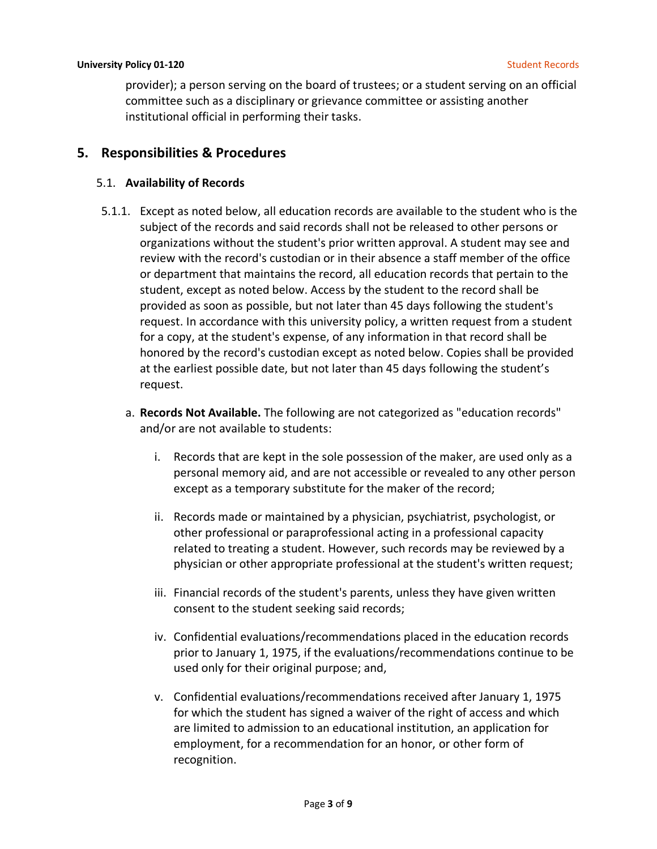provider); a person serving on the board of trustees; or a student serving on an official committee such as a disciplinary or grievance committee or assisting another institutional official in performing their tasks.

## **5. Responsibilities & Procedures**

#### 5.1. **Availability of Records**

- 5.1.1. Except as noted below, all education records are available to the student who is the subject of the records and said records shall not be released to other persons or organizations without the student's prior written approval. A student may see and review with the record's custodian or in their absence a staff member of the office or department that maintains the record, all education records that pertain to the student, except as noted below. Access by the student to the record shall be provided as soon as possible, but not later than 45 days following the student's request. In accordance with this university policy, a written request from a student for a copy, at the student's expense, of any information in that record shall be honored by the record's custodian except as noted below. Copies shall be provided at the earliest possible date, but not later than 45 days following the student's request.
	- a. **Records Not Available.** The following are not categorized as "education records" and/or are not available to students:
		- i. Records that are kept in the sole possession of the maker, are used only as a personal memory aid, and are not accessible or revealed to any other person except as a temporary substitute for the maker of the record;
		- ii. Records made or maintained by a physician, psychiatrist, psychologist, or other professional or paraprofessional acting in a professional capacity related to treating a student. However, such records may be reviewed by a physician or other appropriate professional at the student's written request;
		- iii. Financial records of the student's parents, unless they have given written consent to the student seeking said records;
		- iv. Confidential evaluations/recommendations placed in the education records prior to January 1, 1975, if the evaluations/recommendations continue to be used only for their original purpose; and,
		- v. Confidential evaluations/recommendations received after January 1, 1975 for which the student has signed a waiver of the right of access and which are limited to admission to an educational institution, an application for employment, for a recommendation for an honor, or other form of recognition.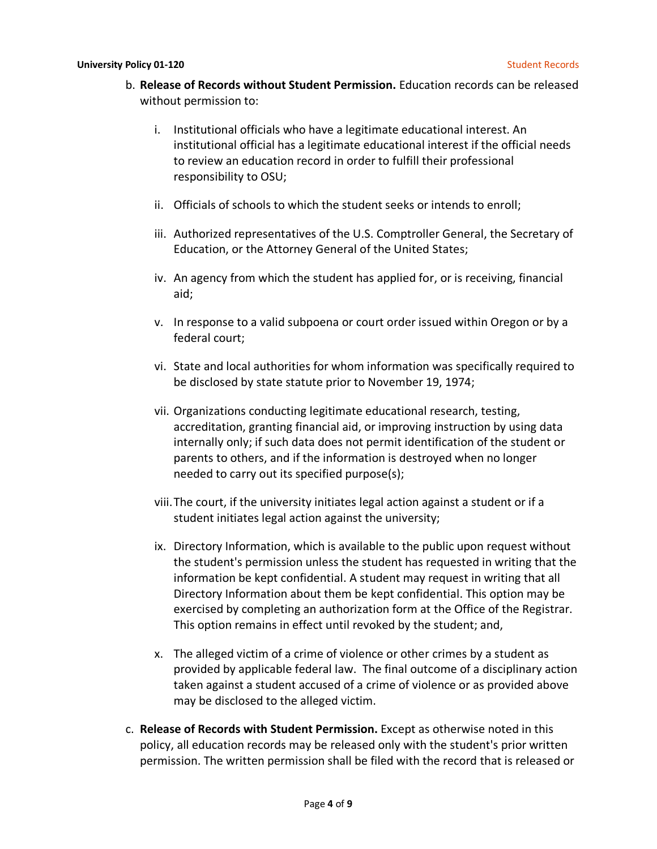- b. **Release of Records without Student Permission.** Education records can be released without permission to:
	- i. Institutional officials who have a legitimate educational interest. An institutional official has a legitimate educational interest if the official needs to review an education record in order to fulfill their professional responsibility to OSU;
	- ii. Officials of schools to which the student seeks or intends to enroll;
	- iii. Authorized representatives of the U.S. Comptroller General, the Secretary of Education, or the Attorney General of the United States;
	- iv. An agency from which the student has applied for, or is receiving, financial aid;
	- v. In response to a valid subpoena or court order issued within Oregon or by a federal court;
	- vi. State and local authorities for whom information was specifically required to be disclosed by state statute prior to November 19, 1974;
	- vii. Organizations conducting legitimate educational research, testing, accreditation, granting financial aid, or improving instruction by using data internally only; if such data does not permit identification of the student or parents to others, and if the information is destroyed when no longer needed to carry out its specified purpose(s);
	- viii.The court, if the university initiates legal action against a student or if a student initiates legal action against the university;
	- ix. Directory Information, which is available to the public upon request without the student's permission unless the student has requested in writing that the information be kept confidential. A student may request in writing that all Directory Information about them be kept confidential. This option may be exercised by completing an authorization form at the Office of the Registrar. This option remains in effect until revoked by the student; and,
	- x. The alleged victim of a crime of violence or other crimes by a student as provided by applicable federal law. The final outcome of a disciplinary action taken against a student accused of a crime of violence or as provided above may be disclosed to the alleged victim.
- c. **Release of Records with Student Permission.** Except as otherwise noted in this policy, all education records may be released only with the student's prior written permission. The written permission shall be filed with the record that is released or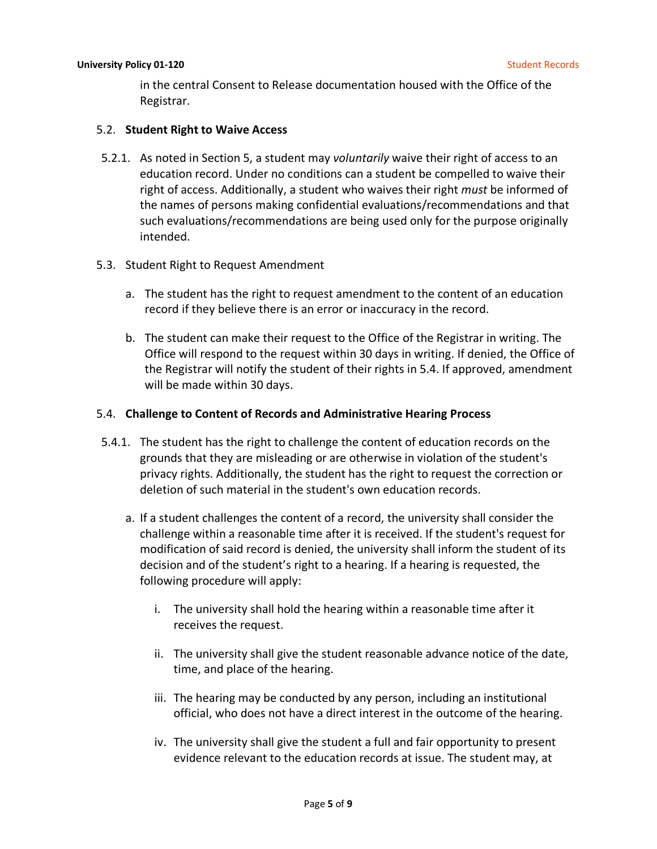in the central Consent to Release documentation housed with the Office of the Registrar.

#### 5.2. **Student Right to Waive Access**

- 5.2.1. As noted in Section 5, a student may *voluntarily* waive their right of access to an education record. Under no conditions can a student be compelled to waive their right of access. Additionally, a student who waives their right *must* be informed of the names of persons making confidential evaluations/recommendations and that such evaluations/recommendations are being used only for the purpose originally intended.
- 5.3. Student Right to Request Amendment
	- a. The student has the right to request amendment to the content of an education record if they believe there is an error or inaccuracy in the record.
	- b. The student can make their request to the Office of the Registrar in writing. The Office will respond to the request within 30 days in writing. If denied, the Office of the Registrar will notify the student of their rights in 5.4. If approved, amendment will be made within 30 days.

#### 5.4. **Challenge to Content of Records and Administrative Hearing Process**

- 5.4.1. The student has the right to challenge the content of education records on the grounds that they are misleading or are otherwise in violation of the student's privacy rights. Additionally, the student has the right to request the correction or deletion of such material in the student's own education records.
	- a. If a student challenges the content of a record, the university shall consider the challenge within a reasonable time after it is received. If the student's request for modification of said record is denied, the university shall inform the student of its decision and of the student's right to a hearing. If a hearing is requested, the following procedure will apply:
		- i. The university shall hold the hearing within a reasonable time after it receives the request.
		- ii. The university shall give the student reasonable advance notice of the date, time, and place of the hearing.
		- iii. The hearing may be conducted by any person, including an institutional official, who does not have a direct interest in the outcome of the hearing.
		- iv. The university shall give the student a full and fair opportunity to present evidence relevant to the education records at issue. The student may, at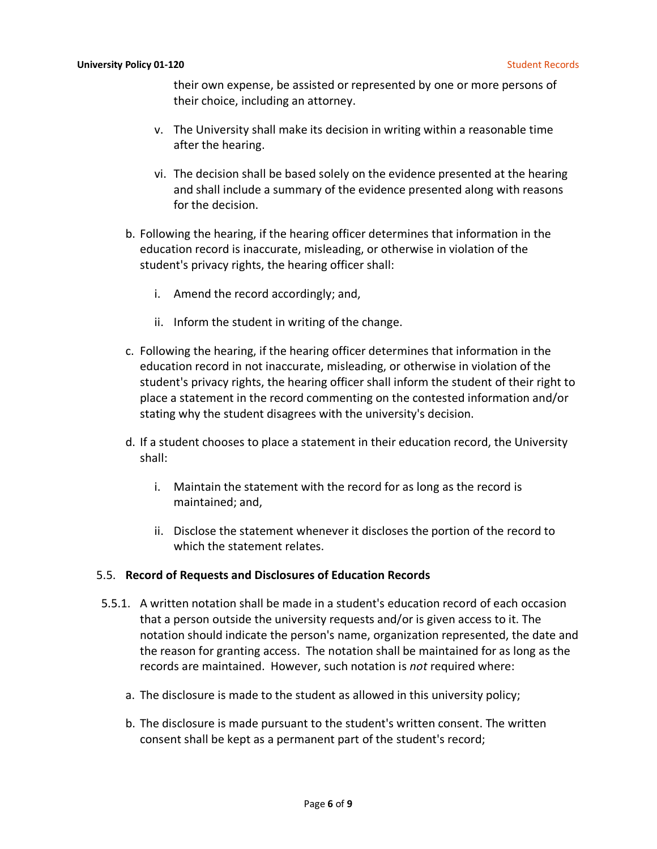their own expense, be assisted or represented by one or more persons of their choice, including an attorney.

- v. The University shall make its decision in writing within a reasonable time after the hearing.
- vi. The decision shall be based solely on the evidence presented at the hearing and shall include a summary of the evidence presented along with reasons for the decision.
- b. Following the hearing, if the hearing officer determines that information in the education record is inaccurate, misleading, or otherwise in violation of the student's privacy rights, the hearing officer shall:
	- i. Amend the record accordingly; and,
	- ii. Inform the student in writing of the change.
- c. Following the hearing, if the hearing officer determines that information in the education record in not inaccurate, misleading, or otherwise in violation of the student's privacy rights, the hearing officer shall inform the student of their right to place a statement in the record commenting on the contested information and/or stating why the student disagrees with the university's decision.
- d. If a student chooses to place a statement in their education record, the University shall:
	- i. Maintain the statement with the record for as long as the record is maintained; and,
	- ii. Disclose the statement whenever it discloses the portion of the record to which the statement relates.

#### 5.5. **Record of Requests and Disclosures of Education Records**

- 5.5.1. A written notation shall be made in a student's education record of each occasion that a person outside the university requests and/or is given access to it. The notation should indicate the person's name, organization represented, the date and the reason for granting access. The notation shall be maintained for as long as the records are maintained. However, such notation is *not* required where:
	- a. The disclosure is made to the student as allowed in this university policy;
	- b. The disclosure is made pursuant to the student's written consent. The written consent shall be kept as a permanent part of the student's record;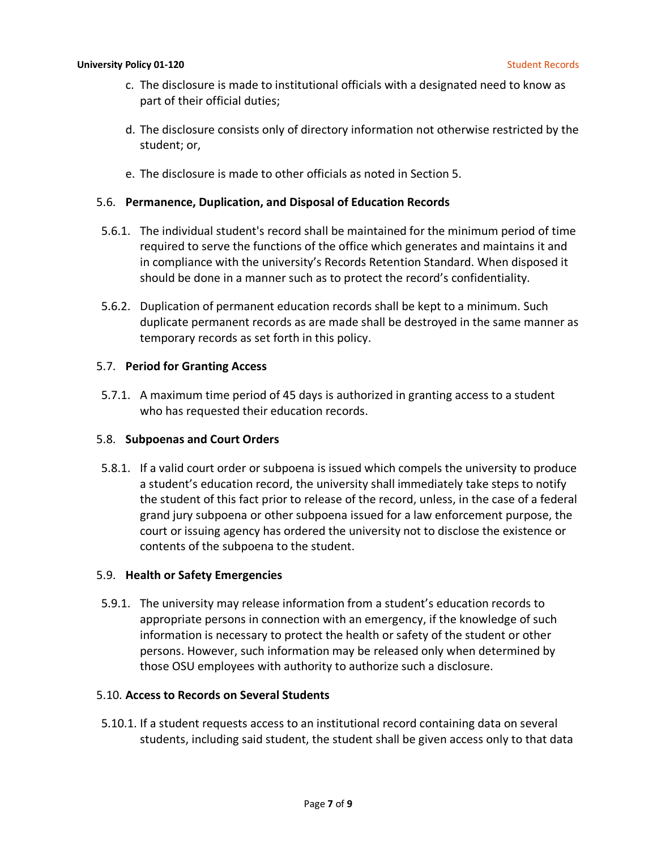- c. The disclosure is made to institutional officials with a designated need to know as part of their official duties;
- d. The disclosure consists only of directory information not otherwise restricted by the student; or,
- e. The disclosure is made to other officials as noted in Section 5.

#### 5.6. **Permanence, Duplication, and Disposal of Education Records**

- 5.6.1. The individual student's record shall be maintained for the minimum period of time required to serve the functions of the office which generates and maintains it and in compliance with the university's Records Retention Standard. When disposed it should be done in a manner such as to protect the record's confidentiality.
- 5.6.2. Duplication of permanent education records shall be kept to a minimum. Such duplicate permanent records as are made shall be destroyed in the same manner as temporary records as set forth in this policy.

#### 5.7. **Period for Granting Access**

5.7.1. A maximum time period of 45 days is authorized in granting access to a student who has requested their education records.

#### 5.8. **Subpoenas and Court Orders**

5.8.1. If a valid court order or subpoena is issued which compels the university to produce a student's education record, the university shall immediately take steps to notify the student of this fact prior to release of the record, unless, in the case of a federal grand jury subpoena or other subpoena issued for a law enforcement purpose, the court or issuing agency has ordered the university not to disclose the existence or contents of the subpoena to the student.

#### 5.9. **Health or Safety Emergencies**

5.9.1. The university may release information from a student's education records to appropriate persons in connection with an emergency, if the knowledge of such information is necessary to protect the health or safety of the student or other persons. However, such information may be released only when determined by those OSU employees with authority to authorize such a disclosure.

#### 5.10. **Access to Records on Several Students**

5.10.1. If a student requests access to an institutional record containing data on several students, including said student, the student shall be given access only to that data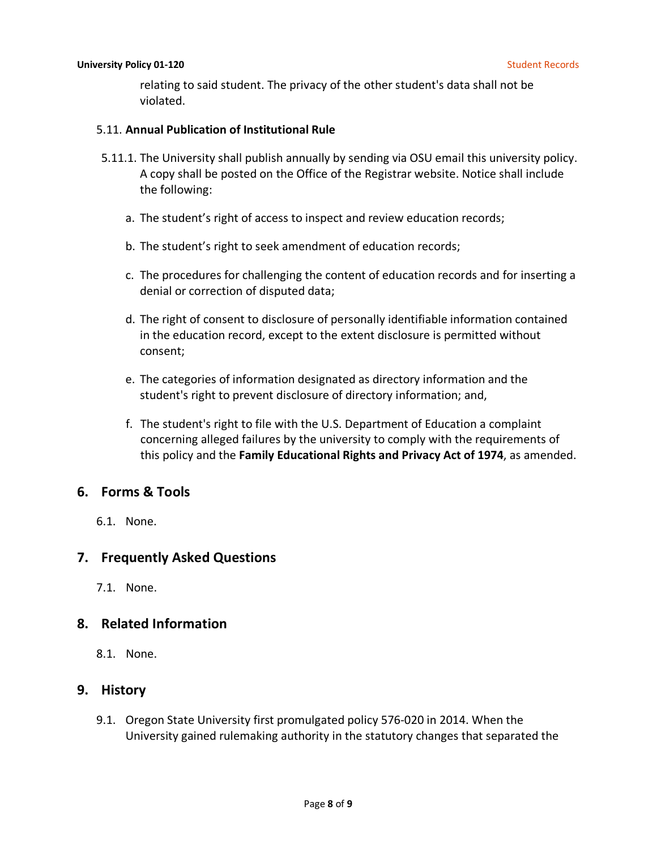relating to said student. The privacy of the other student's data shall not be violated.

#### 5.11. **Annual Publication of Institutional Rule**

- 5.11.1. The University shall publish annually by sending via OSU email this university policy. A copy shall be posted on the Office of the Registrar website. Notice shall include the following:
	- a. The student's right of access to inspect and review education records;
	- b. The student's right to seek amendment of education records;
	- c. The procedures for challenging the content of education records and for inserting a denial or correction of disputed data;
	- d. The right of consent to disclosure of personally identifiable information contained in the education record, except to the extent disclosure is permitted without consent;
	- e. The categories of information designated as directory information and the student's right to prevent disclosure of directory information; and,
	- f. The student's right to file with the U.S. Department of Education a complaint concerning alleged failures by the university to comply with the requirements of this policy and the **Family Educational Rights and Privacy Act of 1974**, as amended.

# **6. Forms & Tools**

6.1. None.

# **7. Frequently Asked Questions**

7.1. None.

## **8. Related Information**

8.1. None.

## **9. History**

9.1. Oregon State University first promulgated policy 576-020 in 2014. When the University gained rulemaking authority in the statutory changes that separated the